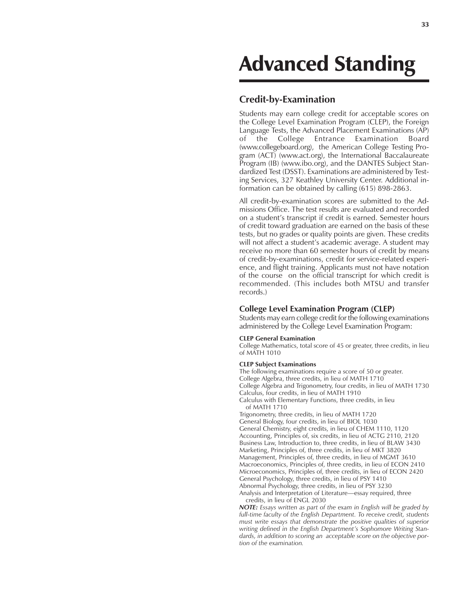# Advanced Standing

## **Credit-by-Examination**

Students may earn college credit for acceptable scores on the College Level Examination Program (CLEP), the Foreign Language Tests, the Advanced Placement Examinations (AP) of the College Entrance Examination Board (www.collegeboard.org), the American College Testing Program (ACT) (www.act.org), the International Baccalaureate Program (IB) (www.ibo.org), and the DANTES Subject Standardized Test (DSST). Examinations are administered by Testing Services, 327 Keathley University Center. Additional information can be obtained by calling (615) 898-2863.

All credit-by-examination scores are submitted to the Admissions Office. The test results are evaluated and recorded on a student's transcript if credit is earned. Semester hours of credit toward graduation are earned on the basis of these tests, but no grades or quality points are given. These credits will not affect a student's academic average. A student may receive no more than 60 semester hours of credit by means of credit-by-examinations, credit for service-related experience, and flight training. Applicants must not have notation of the course on the official transcript for which credit is recommended. (This includes both MTSU and transfer records.)

#### **College Level Examination Program (CLEP)**

Students may earn college credit for the following examinations administered by the College Level Examination Program:

#### **CLEP General Examination**

College Mathematics, total score of 45 or greater, three credits, in lieu of MATH 1010

#### **CLEP Subject Examinations**

The following examinations require a score of 50 or greater. College Algebra, three credits, in lieu of MATH 1710 College Algebra and Trigonometry, four credits, in lieu of MATH 1730 Calculus, four credits, in lieu of MATH 1910 Calculus with Elementary Functions, three credits, in lieu of MATH 1710 Trigonometry, three credits, in lieu of MATH 1720 General Biology, four credits, in lieu of BIOL 1030 General Chemistry, eight credits, in lieu of CHEM 1110, 1120 Accounting, Principles of, six credits, in lieu of ACTG 2110, 2120 Business Law, Introduction to, three credits, in lieu of BLAW 3430 Marketing, Principles of, three credits, in lieu of MKT 3820 Management, Principles of, three credits, in lieu of MGMT 3610 Macroeconomics, Principles of, three credits, in lieu of ECON 2410 Microeconomics, Principles of, three credits, in lieu of ECON 2420 General Psychology, three credits, in lieu of PSY 1410

Abnormal Psychology, three credits, in lieu of PSY 3230 Analysis and Interpretation of Literature—essay required, three credits, in lieu of ENGL 2030

*NOTE: Essays written as part of the exam in English will be graded by full-time faculty of the English Department. To receive credit, students must write essays that demonstrate the positive qualities of superior* writing defined in the English Department's Sophomore Writing Stan*dards, in addition to scoring an acceptable score on the objective portion of the examination.*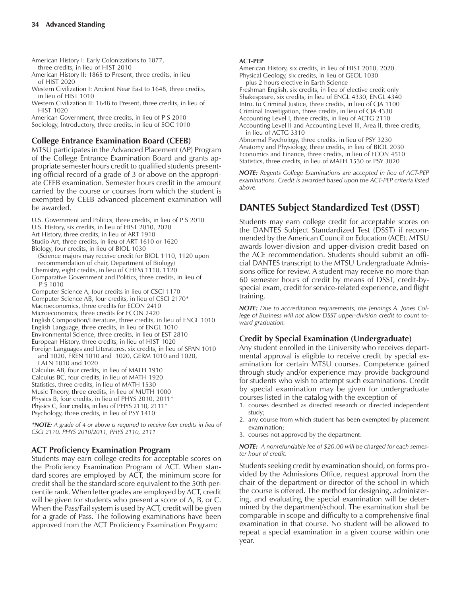American History I: Early Colonizations to 1877, three credits, in lieu of HIST 2010

- American History II: 1865 to Present, three credits, in lieu of HIST 2020
- Western Civilization I: Ancient Near East to 1648, three credits, in lieu of HIST 1010
- Western Civilization II: 1648 to Present, three credits, in lieu of HIST 1020

American Government, three credits, in lieu of P S 2010 Sociology, Introductory, three credits, in lieu of SOC 1010

## **College Entrance Examination Board (CEEB)**

MTSU participates in the Advanced Placement (AP) Program of the College Entrance Examination Board and grants appropriate semester hours credit to qualified students presenting official record of a grade of 3 or above on the appropriate CEEB examination. Semester hours credit in the amount carried by the course or courses from which the student is exempted by CEEB advanced placement examination will be awarded.

U.S. Government and Politics, three credits, in lieu of P S 2010 U.S. History, six credits, in lieu of HIST 2010, 2020 Art History, three credits, in lieu of ART 1910 Studio Art, three credits, in lieu of ART 1610 or 1620

Biology, four credits, in lieu of BIOL 1030

(Science majors may receive credit for BIOL 1110, 1120 upon recommendation of chair, Department of Biology)

Chemistry, eight credits, in lieu of CHEM 1110, 1120 Comparative Government and Politics, three credits, in lieu of P S 1010

Computer Science A, four credits in lieu of CSCI 1170 Computer Science AB, four credits, in lieu of CSCI 2170\* Macroeconomics, three credits for ECON 2410 Microeconomics, three credits for ECON 2420 English Composition/Literature, three credits, in lieu of ENGL 1010 English Language, three credits, in lieu of ENGL 1010 Environmental Science, three credits, in lieu of EST 2810 European History, three credits, in lieu of HIST 1020 Foreign Languages and Literatures, six credits, in lieu of SPAN 1010 and 1020, FREN 1010 and 1020, GERM 1010 and 1020,

LATN 1010 and 1020 Calculus AB, four credits, in lieu of MATH 1910 Calculus BC, four credits, in lieu of MATH 1920 Statistics, three credits, in lieu of MATH 1530

Music Theory, three credits, in lieu of MUTH 1000 Physics B, four credits, in lieu of PHYS 2010, 2011\* Physics C, four credits, in lieu of PHYS 2110, 2111\*

Psychology, three credits, in lieu of PSY 1410

*\*NOTE: A grade of 4 or above is required to receive four credits in lieu of CSCI 2170, PHYS 2010/2011, PHYS 2110, 2111*

## **ACT Proficiency Examination Program**

Students may earn college credits for acceptable scores on the Proficiency Examination Program of ACT. When standard scores are employed by ACT, the minimum score for credit shall be the standard score equivalent to the 50th percentile rank. When letter grades are employed by ACT, credit will be given for students who present a score of A, B, or C. When the Pass/Fail system is used by ACT, credit will be given for a grade of Pass. The following examinations have been approved from the ACT Proficiency Examination Program:

#### **ACT-PEP**

American History, six credits, in lieu of HIST 2010, 2020 Physical Geology, six credits, in lieu of GEOL 1030 plus 2 hours elective in Earth Science Freshman English, six credits, in lieu of elective credit only Shakespeare, six credits, in lieu of ENGL 4330, ENGL 4340 Intro. to Criminal Justice, three credits, in lieu of CJA 1100 Criminal Investigation, three credits, in lieu of CJA 4330 Accounting Level I, three credits, in lieu of ACTG 2110 Accounting Level II and Accounting Level III, Area II, three credits, in lieu of ACTG 3310

Abnormal Psychology, three credits, in lieu of PSY 3230 Anatomy and Physiology, three credits, in lieu of BIOL 2030 Economics and Finance, three credits, in lieu of ECON 4510 Statistics, three credits, in lieu of MATH 1530 or PSY 3020

*NOTE: Regents College Examinations are accepted in lieu of ACT-PEP examinations. Credit is awarded based upon the ACT-PEP criteria listed above.*

# **DANTES Subject Standardized Test (DSST)**

Students may earn college credit for acceptable scores on the DANTES Subject Standardized Test (DSST) if recommended by the American Council on Education (ACE). MTSU awards lower-division and upper-division credit based on the ACE recommendation. Students should submit an official DANTES transcript to the MTSU Undergraduate Admissions office for review. A student may receive no more than 60 semester hours of credit by means of DSST, credit-byspecial exam, credit for service-related experience, and flight training.

*NOTE: Due to accreditation requirements, the Jennings A. Jones College of Business will not allow DSST upper-division credit to count toward graduation.*

#### **Credit by Special Examination (Undergraduate)**

Any student enrolled in the University who receives departmental approval is eligible to receive credit by special examination for certain MTSU courses. Competence gained through study and/or experience may provide background for students who wish to attempt such examinations. Credit by special examination may be given for undergraduate courses listed in the catalog with the exception of

- 1. courses described as directed research or directed independent study;
- 2. any course from which student has been exempted by placement examination;
- 3. courses not approved by the department.

*NOTE: A nonrefundable fee of \$20.00 will be charged for each semester hour of credit.*

Students seeking credit by examination should, on forms provided by the Admissions Office, request approval from the chair of the department or director of the school in which the course is offered. The method for designing, administering, and evaluating the special examination will be determined by the department/school. The examination shall be comparable in scope and difficulty to a comprehensive final examination in that course. No student will be allowed to repeat a special examination in a given course within one year.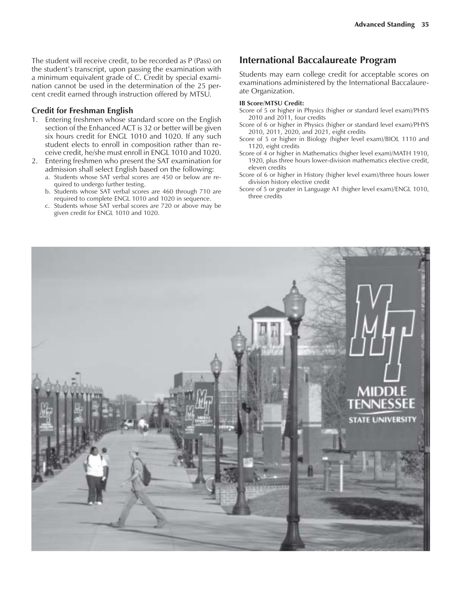The student will receive credit, to be recorded as P (Pass) on the student's transcript, upon passing the examination with a minimum equivalent grade of C. Credit by special examination cannot be used in the determination of the 25 percent credit earned through instruction offered by MTSU.

#### **Credit for Freshman English**

- 1. Entering freshmen whose standard score on the English section of the Enhanced ACT is 32 or better will be given six hours credit for ENGL 1010 and 1020. If any such student elects to enroll in composition rather than receive credit, he/she must enroll in ENGL 1010 and 1020.
- 2. Entering freshmen who present the SAT examination for admission shall select English based on the following:
	- a. Students whose SAT verbal scores are 450 or below are required to undergo further testing.
	- b. Students whose SAT verbal scores are 460 through 710 are required to complete ENGL 1010 and 1020 in sequence.
	- c. Students whose SAT verbal scores are 720 or above may be given credit for ENGL 1010 and 1020.

## **International Baccalaureate Program**

Students may earn college credit for acceptable scores on examinations administered by the International Baccalaureate Organization.

#### **IB Score/MTSU Credit:**

- Score of 5 or higher in Physics (higher or standard level exam)/PHYS 2010 and 2011, four credits
- Score of 6 or higher in Physics (higher or standard level exam)/PHYS 2010, 2011, 2020, and 2021, eight credits
- Score of 5 or higher in Biology (higher level exam)/BIOL 1110 and 1120, eight credits
- Score of 4 or higher in Mathematics (higher level exam)/MATH 1910, 1920, plus three hours lower-division mathematics elective credit, eleven credits
- Score of 6 or higher in History (higher level exam)/three hours lower division history elective credit
- Score of 5 or greater in Language A1 (higher level exam)/ENGL 1010, three credits